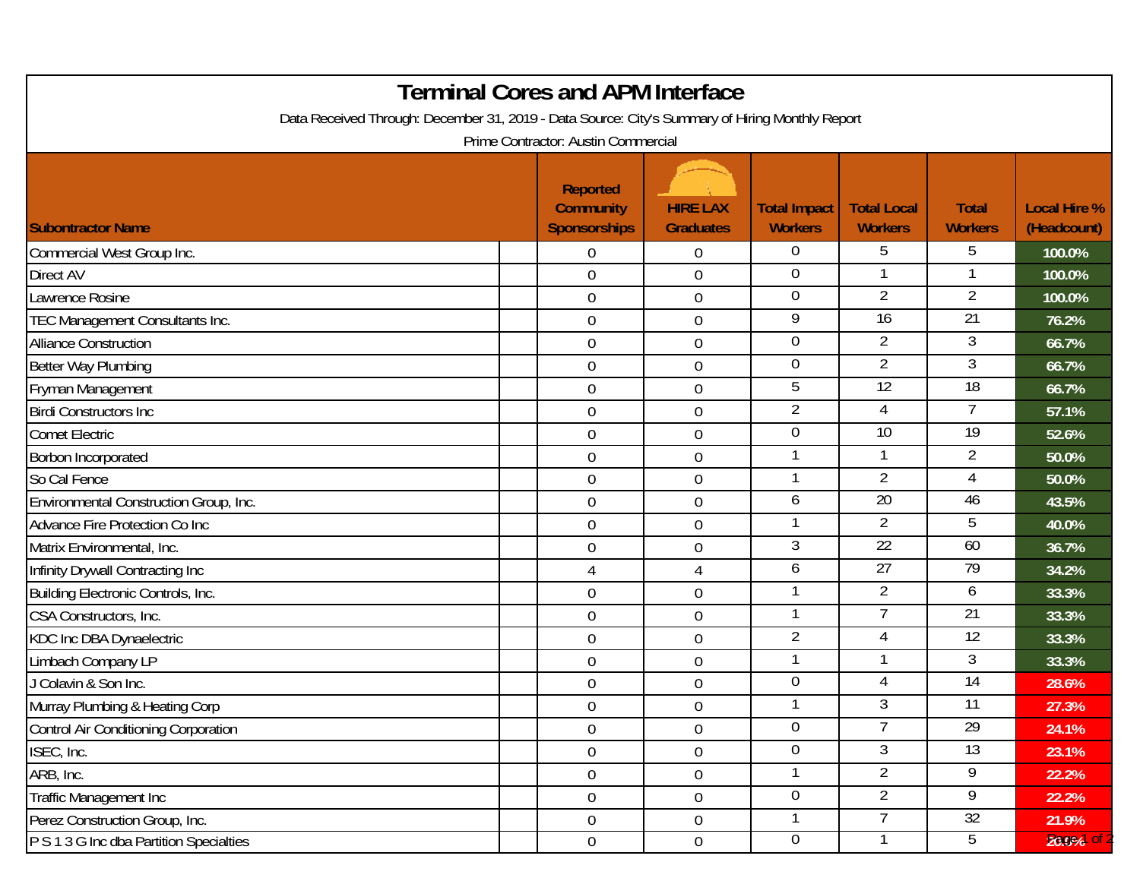| <b>Terminal Cores and APM Interface</b><br>Data Received Through: December 31, 2019 - Data Source: City's Summary of Hiring Monthly Report<br>Prime Contractor: Austin Commercial |  |                                                            |                                     |                                       |                                      |                                |                                    |  |  |  |  |
|-----------------------------------------------------------------------------------------------------------------------------------------------------------------------------------|--|------------------------------------------------------------|-------------------------------------|---------------------------------------|--------------------------------------|--------------------------------|------------------------------------|--|--|--|--|
| <b>Subontractor Name</b>                                                                                                                                                          |  | <b>Reported</b><br><b>Community</b><br><b>Sponsorships</b> | <b>HIRE LAX</b><br><b>Graduates</b> | <b>Total Impact</b><br><b>Workers</b> | <b>Total Local</b><br><b>Workers</b> | <b>Total</b><br><b>Workers</b> | <b>Local Hire %</b><br>(Headcount) |  |  |  |  |
| Commercial West Group Inc.                                                                                                                                                        |  | $\Omega$                                                   | $\overline{0}$                      | $\overline{0}$                        | 5                                    | 5                              | 100.0%                             |  |  |  |  |
| <b>Direct AV</b>                                                                                                                                                                  |  | $\mathbf 0$                                                | $\boldsymbol{0}$                    | 0                                     |                                      |                                | 100.0%                             |  |  |  |  |
| Lawrence Rosine                                                                                                                                                                   |  | $\mathbf 0$                                                | $\boldsymbol{0}$                    | $\overline{0}$                        | $\overline{2}$                       | $\overline{2}$                 | 100.0%                             |  |  |  |  |
| TEC Management Consultants Inc.                                                                                                                                                   |  | $\overline{0}$                                             | $\boldsymbol{0}$                    | 9                                     | $\overline{16}$                      | 21                             | 76.2%                              |  |  |  |  |
| <b>Alliance Construction</b>                                                                                                                                                      |  | $\overline{0}$                                             | $\boldsymbol{0}$                    | $\overline{0}$                        | $\overline{2}$                       | 3                              | 66.7%                              |  |  |  |  |
| Better Way Plumbing                                                                                                                                                               |  | $\boldsymbol{0}$                                           | $\boldsymbol{0}$                    | $\boldsymbol{0}$                      | 2                                    | 3                              | 66.7%                              |  |  |  |  |
| Fryman Management                                                                                                                                                                 |  | $\mathbf 0$                                                | $\boldsymbol{0}$                    | 5                                     | 12                                   | 18                             | 66.7%                              |  |  |  |  |
| <b>Birdi Constructors Inc.</b>                                                                                                                                                    |  | $\overline{0}$                                             | $\mathbf 0$                         | $\overline{2}$                        | 4                                    | 7                              | 57.1%                              |  |  |  |  |
| <b>Comet Electric</b>                                                                                                                                                             |  | 0                                                          | $\boldsymbol{0}$                    | $\mathbf 0$                           | $\overline{10}$                      | $\overline{19}$                | 52.6%                              |  |  |  |  |
| Borbon Incorporated                                                                                                                                                               |  | $\mathbf 0$                                                | $\boldsymbol{0}$                    |                                       |                                      | $\overline{2}$                 | 50.0%                              |  |  |  |  |
| So Cal Fence                                                                                                                                                                      |  | $\overline{0}$                                             | $\boldsymbol{0}$                    |                                       | $\overline{2}$                       | 4                              | 50.0%                              |  |  |  |  |
| Environmental Construction Group, Inc.                                                                                                                                            |  | $\mathbf 0$                                                | $\boldsymbol{0}$                    | 6                                     | $\overline{20}$                      | 46                             | 43.5%                              |  |  |  |  |
| Advance Fire Protection Co Inc                                                                                                                                                    |  | $\mathbf 0$                                                | $\mathbf 0$                         |                                       | $\overline{2}$                       | 5                              | 40.0%                              |  |  |  |  |
| Matrix Environmental, Inc.                                                                                                                                                        |  | 0                                                          | $\boldsymbol{0}$                    | 3                                     | $\overline{22}$                      | 60                             | 36.7%                              |  |  |  |  |
| Infinity Drywall Contracting Inc                                                                                                                                                  |  | $\overline{4}$                                             | $\overline{4}$                      | 6                                     | 27                                   | 79                             | 34.2%                              |  |  |  |  |
| Building Electronic Controls, Inc.                                                                                                                                                |  | $\mathbf 0$                                                | $\mathbf 0$                         |                                       | $\overline{2}$                       | 6                              | 33.3%                              |  |  |  |  |
| CSA Constructors, Inc.                                                                                                                                                            |  | $\overline{0}$                                             | $\boldsymbol{0}$                    |                                       |                                      | 21                             | 33.3%                              |  |  |  |  |
| <b>KDC Inc DBA Dynaelectric</b>                                                                                                                                                   |  | $\boldsymbol{0}$                                           | $\boldsymbol{0}$                    | $\overline{2}$                        | 4                                    | $\overline{12}$                | 33.3%                              |  |  |  |  |
| Limbach Company LP                                                                                                                                                                |  | $\mathbf 0$                                                | $\boldsymbol{0}$                    | 1                                     |                                      | 3                              | 33.3%                              |  |  |  |  |
| J Colavin & Son Inc.                                                                                                                                                              |  | $\mathbf 0$                                                | $\boldsymbol{0}$                    | $\mathbf 0$                           | 4                                    | 14                             | 28.6%                              |  |  |  |  |
| Murray Plumbing & Heating Corp                                                                                                                                                    |  | $\mathbf 0$                                                | $\mathbf 0$                         |                                       | 3                                    | 11                             | 27.3%                              |  |  |  |  |
| Control Air Conditioning Corporation                                                                                                                                              |  | $\mathbf 0$                                                | $\boldsymbol{0}$                    | $\overline{0}$                        | 7                                    | $\overline{29}$                | 24.1%                              |  |  |  |  |
| ISEC, Inc.                                                                                                                                                                        |  | $\boldsymbol{0}$                                           | $\boldsymbol{0}$                    | $\overline{0}$                        | 3                                    | 13                             | 23.1%                              |  |  |  |  |
| ARB, Inc.                                                                                                                                                                         |  | $\mathbf 0$                                                | $\boldsymbol{0}$                    | 1                                     | $\overline{2}$                       | 9                              | 22.2%                              |  |  |  |  |
| Traffic Management Inc                                                                                                                                                            |  | $\mathbf 0$                                                | $\boldsymbol{0}$                    | $\overline{0}$                        | $\overline{2}$                       | 9                              | 22.2%                              |  |  |  |  |
| Perez Construction Group, Inc.                                                                                                                                                    |  | $\overline{0}$                                             | $\boldsymbol{0}$                    |                                       | $\overline{7}$                       | 32 <sup>°</sup>                | 21.9%                              |  |  |  |  |
| P S 1 3 G Inc dba Partition Specialties                                                                                                                                           |  | $\overline{0}$                                             | $\boldsymbol{0}$                    | $\overline{0}$                        |                                      | 5                              | 20.0%                              |  |  |  |  |